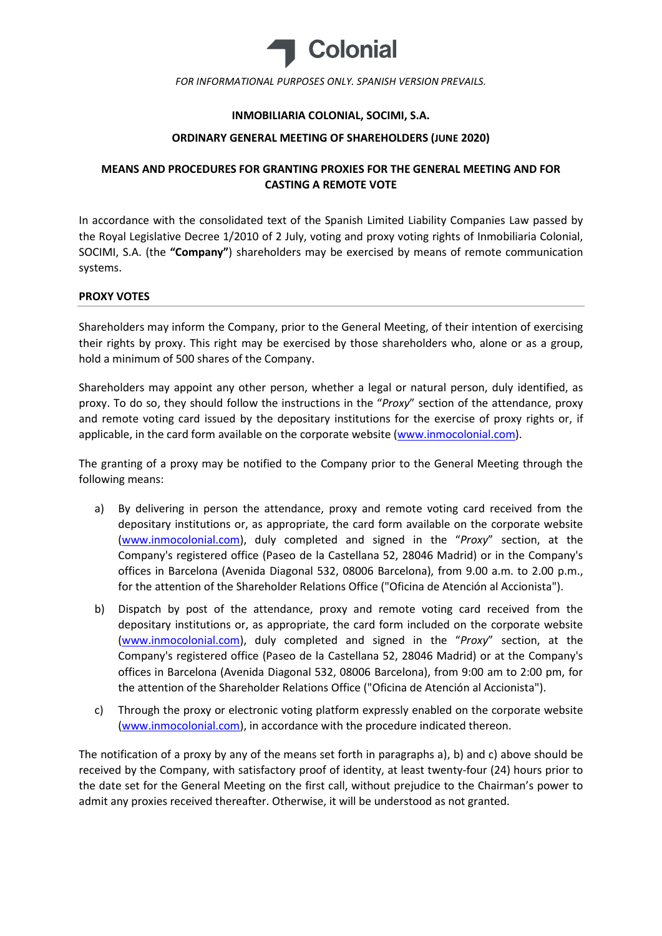

FOR INFORMATIONAL PURPOSES ONLY. SPANISH VERSION PREVAILS.

## INMOBILIARIA COLONIAL, SOCIMI, S.A.

### ORDINARY GENERAL MEETING OF SHAREHOLDERS (JUNE 2020)

# MEANS AND PROCEDURES FOR GRANTING PROXIES FOR THE GENERAL MEETING AND FOR CASTING A REMOTE VOTE

In accordance with the consolidated text of the Spanish Limited Liability Companies Law passed by the Royal Legislative Decree 1/2010 of 2 July, voting and proxy voting rights of Inmobiliaria Colonial, SOCIMI, S.A. (the "Company") shareholders may be exercised by means of remote communication systems.

### PROXY VOTES

Shareholders may inform the Company, prior to the General Meeting, of their intention of exercising their rights by proxy. This right may be exercised by those shareholders who, alone or as a group, hold a minimum of 500 shares of the Company.

Shareholders may appoint any other person, whether a legal or natural person, duly identified, as proxy. To do so, they should follow the instructions in the "Proxy" section of the attendance, proxy and remote voting card issued by the depositary institutions for the exercise of proxy rights or, if applicable, in the card form available on the corporate website (www.inmocolonial.com).

The granting of a proxy may be notified to the Company prior to the General Meeting through the following means:

- a) By delivering in person the attendance, proxy and remote voting card received from the depositary institutions or, as appropriate, the card form available on the corporate website (www.inmocolonial.com), duly completed and signed in the "Proxy" section, at the Company's registered office (Paseo de la Castellana 52, 28046 Madrid) or in the Company's offices in Barcelona (Avenida Diagonal 532, 08006 Barcelona), from 9.00 a.m. to 2.00 p.m., for the attention of the Shareholder Relations Office ("Oficina de Atención al Accionista").
- b) Dispatch by post of the attendance, proxy and remote voting card received from the depositary institutions or, as appropriate, the card form included on the corporate website (www.inmocolonial.com), duly completed and signed in the "Proxy" section, at the Company's registered office (Paseo de la Castellana 52, 28046 Madrid) or at the Company's offices in Barcelona (Avenida Diagonal 532, 08006 Barcelona), from 9:00 am to 2:00 pm, for the attention of the Shareholder Relations Office ("Oficina de Atención al Accionista").
- c) Through the proxy or electronic voting platform expressly enabled on the corporate website (www.inmocolonial.com), in accordance with the procedure indicated thereon.

The notification of a proxy by any of the means set forth in paragraphs a), b) and c) above should be received by the Company, with satisfactory proof of identity, at least twenty-four (24) hours prior to the date set for the General Meeting on the first call, without prejudice to the Chairman's power to admit any proxies received thereafter. Otherwise, it will be understood as not granted.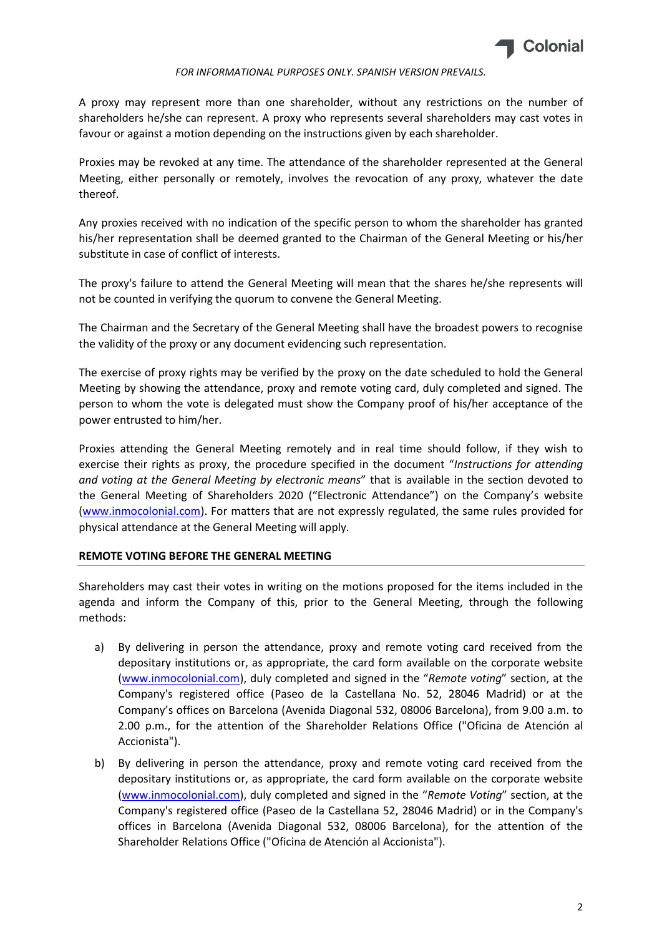

#### FOR INFORMATIONAL PURPOSES ONLY. SPANISH VERSION PREVAILS.

A proxy may represent more than one shareholder, without any restrictions on the number of shareholders he/she can represent. A proxy who represents several shareholders may cast votes in favour or against a motion depending on the instructions given by each shareholder.

Proxies may be revoked at any time. The attendance of the shareholder represented at the General Meeting, either personally or remotely, involves the revocation of any proxy, whatever the date thereof.

Any proxies received with no indication of the specific person to whom the shareholder has granted his/her representation shall be deemed granted to the Chairman of the General Meeting or his/her substitute in case of conflict of interests.

The proxy's failure to attend the General Meeting will mean that the shares he/she represents will not be counted in verifying the quorum to convene the General Meeting.

The Chairman and the Secretary of the General Meeting shall have the broadest powers to recognise the validity of the proxy or any document evidencing such representation.

The exercise of proxy rights may be verified by the proxy on the date scheduled to hold the General Meeting by showing the attendance, proxy and remote voting card, duly completed and signed. The person to whom the vote is delegated must show the Company proof of his/her acceptance of the power entrusted to him/her.

Proxies attending the General Meeting remotely and in real time should follow, if they wish to exercise their rights as proxy, the procedure specified in the document "Instructions for attending and voting at the General Meeting by electronic means" that is available in the section devoted to the General Meeting of Shareholders 2020 ("Electronic Attendance") on the Company's website (www.inmocolonial.com). For matters that are not expressly regulated, the same rules provided for physical attendance at the General Meeting will apply.

### REMOTE VOTING BEFORE THE GENERAL MEETING

Shareholders may cast their votes in writing on the motions proposed for the items included in the agenda and inform the Company of this, prior to the General Meeting, through the following methods:

- a) By delivering in person the attendance, proxy and remote voting card received from the depositary institutions or, as appropriate, the card form available on the corporate website (www.inmocolonial.com), duly completed and signed in the "Remote voting" section, at the Company's registered office (Paseo de la Castellana No. 52, 28046 Madrid) or at the Company's offices on Barcelona (Avenida Diagonal 532, 08006 Barcelona), from 9.00 a.m. to 2.00 p.m., for the attention of the Shareholder Relations Office ("Oficina de Atención al Accionista").
- b) By delivering in person the attendance, proxy and remote voting card received from the depositary institutions or, as appropriate, the card form available on the corporate website (www.inmocolonial.com), duly completed and signed in the "Remote Voting" section, at the Company's registered office (Paseo de la Castellana 52, 28046 Madrid) or in the Company's offices in Barcelona (Avenida Diagonal 532, 08006 Barcelona), for the attention of the Shareholder Relations Office ("Oficina de Atención al Accionista").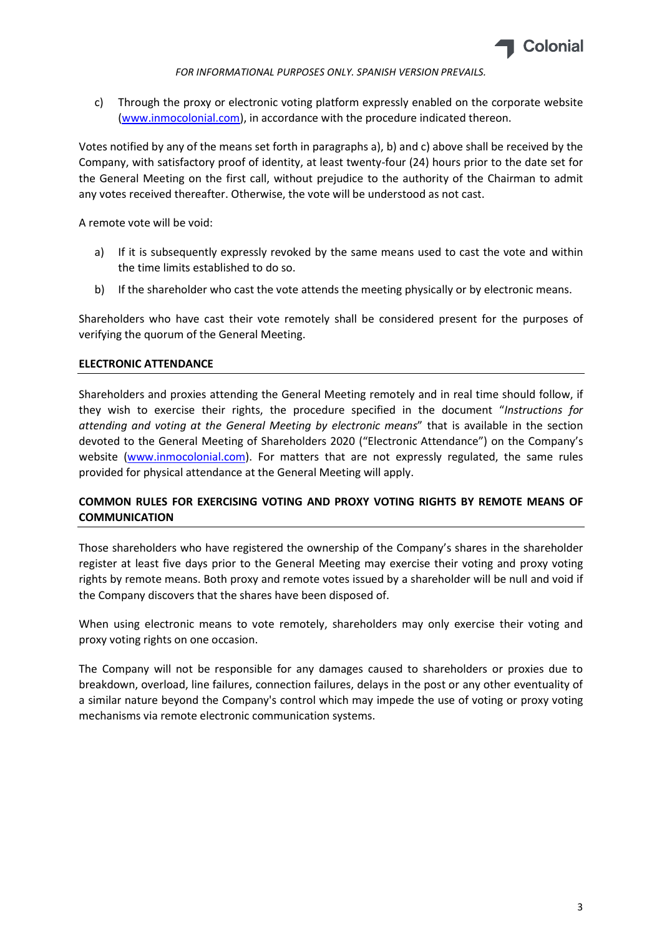

FOR INFORMATIONAL PURPOSES ONLY. SPANISH VERSION PREVAILS.

c) Through the proxy or electronic voting platform expressly enabled on the corporate website (www.inmocolonial.com), in accordance with the procedure indicated thereon.

Votes notified by any of the means set forth in paragraphs a), b) and c) above shall be received by the Company, with satisfactory proof of identity, at least twenty-four (24) hours prior to the date set for the General Meeting on the first call, without prejudice to the authority of the Chairman to admit any votes received thereafter. Otherwise, the vote will be understood as not cast.

A remote vote will be void:

- a) If it is subsequently expressly revoked by the same means used to cast the vote and within the time limits established to do so.
- b) If the shareholder who cast the vote attends the meeting physically or by electronic means.

Shareholders who have cast their vote remotely shall be considered present for the purposes of verifying the quorum of the General Meeting.

## ELECTRONIC ATTENDANCE

Shareholders and proxies attending the General Meeting remotely and in real time should follow, if they wish to exercise their rights, the procedure specified in the document "Instructions for attending and voting at the General Meeting by electronic means" that is available in the section devoted to the General Meeting of Shareholders 2020 ("Electronic Attendance") on the Company's website (www.inmocolonial.com). For matters that are not expressly regulated, the same rules provided for physical attendance at the General Meeting will apply.

# COMMON RULES FOR EXERCISING VOTING AND PROXY VOTING RIGHTS BY REMOTE MEANS OF COMMUNICATION

Those shareholders who have registered the ownership of the Company's shares in the shareholder register at least five days prior to the General Meeting may exercise their voting and proxy voting rights by remote means. Both proxy and remote votes issued by a shareholder will be null and void if the Company discovers that the shares have been disposed of.

When using electronic means to vote remotely, shareholders may only exercise their voting and proxy voting rights on one occasion.

The Company will not be responsible for any damages caused to shareholders or proxies due to breakdown, overload, line failures, connection failures, delays in the post or any other eventuality of a similar nature beyond the Company's control which may impede the use of voting or proxy voting mechanisms via remote electronic communication systems.